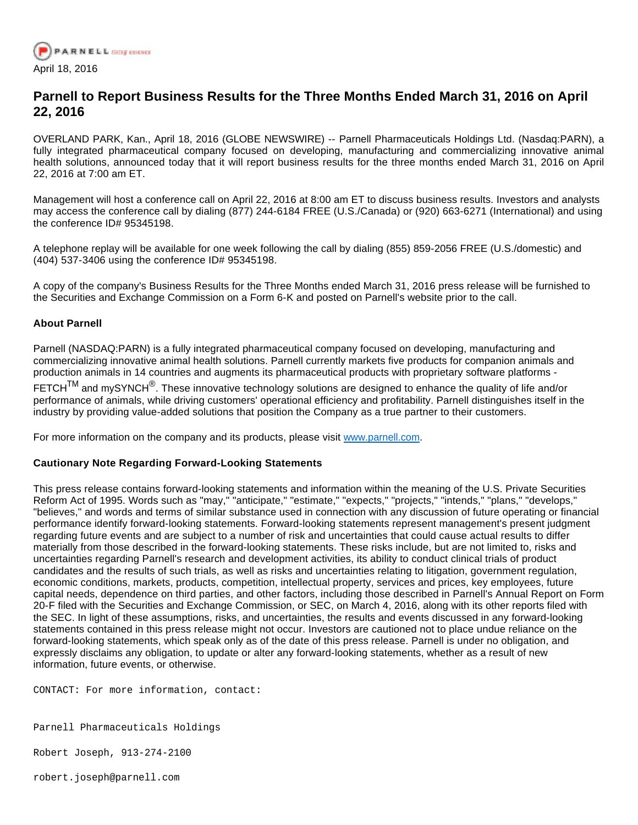

## **Parnell to Report Business Results for the Three Months Ended March 31, 2016 on April 22, 2016**

OVERLAND PARK, Kan., April 18, 2016 (GLOBE NEWSWIRE) -- Parnell Pharmaceuticals Holdings Ltd. (Nasdaq:PARN), a fully integrated pharmaceutical company focused on developing, manufacturing and commercializing innovative animal health solutions, announced today that it will report business results for the three months ended March 31, 2016 on April 22, 2016 at 7:00 am ET.

Management will host a conference call on April 22, 2016 at 8:00 am ET to discuss business results. Investors and analysts may access the conference call by dialing (877) 244-6184 FREE (U.S./Canada) or (920) 663-6271 (International) and using the conference ID# 95345198.

A telephone replay will be available for one week following the call by dialing (855) 859-2056 FREE (U.S./domestic) and (404) 537-3406 using the conference ID# 95345198.

A copy of the company's Business Results for the Three Months ended March 31, 2016 press release will be furnished to the Securities and Exchange Commission on a Form 6-K and posted on Parnell's website prior to the call.

## **About Parnell**

Parnell (NASDAQ:PARN) is a fully integrated pharmaceutical company focused on developing, manufacturing and commercializing innovative animal health solutions. Parnell currently markets five products for companion animals and production animals in 14 countries and augments its pharmaceutical products with proprietary software platforms - FETCH<sup>TM</sup> and mySYNCH<sup>®</sup>. These innovative technology solutions are designed to enhance the quality of life and/or

performance of animals, while driving customers' operational efficiency and profitability. Parnell distinguishes itself in the industry by providing value-added solutions that position the Company as a true partner to their customers.

For more information on the company and its products, please visit [www.parnell.com.](http://www.globenewswire.com/Tracker?data=leFNZdOJlPS_Yt0Bao52dt5r1rGGG-xvnYjw5CWaxv2_rpE25ADwo6N3lhcqDD5vgEF67TcRB0RrKBhxmnM-013GSiKJBI9YaAD05JxDebGtE2_4rqFHU1SFp6xnhGbjiNpwO6az6Tuxi42yJ8kZ4SyhyCu7NlG3D-srdtatNz1Suz3nyZZTw9V1MJqCwMl06JjdlrLhudBcPkuB0oermg==)

## **Cautionary Note Regarding Forward-Looking Statements**

This press release contains forward-looking statements and information within the meaning of the U.S. Private Securities Reform Act of 1995. Words such as "may," "anticipate," "estimate," "expects," "projects," "intends," "plans," "develops," "believes," and words and terms of similar substance used in connection with any discussion of future operating or financial performance identify forward-looking statements. Forward-looking statements represent management's present judgment regarding future events and are subject to a number of risk and uncertainties that could cause actual results to differ materially from those described in the forward-looking statements. These risks include, but are not limited to, risks and uncertainties regarding Parnell's research and development activities, its ability to conduct clinical trials of product candidates and the results of such trials, as well as risks and uncertainties relating to litigation, government regulation, economic conditions, markets, products, competition, intellectual property, services and prices, key employees, future capital needs, dependence on third parties, and other factors, including those described in Parnell's Annual Report on Form 20-F filed with the Securities and Exchange Commission, or SEC, on March 4, 2016, along with its other reports filed with the SEC. In light of these assumptions, risks, and uncertainties, the results and events discussed in any forward-looking statements contained in this press release might not occur. Investors are cautioned not to place undue reliance on the forward-looking statements, which speak only as of the date of this press release. Parnell is under no obligation, and expressly disclaims any obligation, to update or alter any forward-looking statements, whether as a result of new information, future events, or otherwise.

CONTACT: For more information, contact:

Parnell Pharmaceuticals Holdings

Robert Joseph, 913-274-2100

robert.joseph@parnell.com